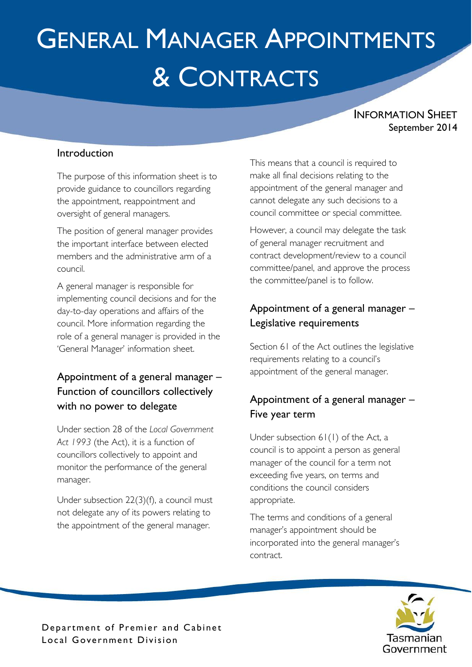# GENERAL MANAGER APPOINTMENTS & CONTRACTS

INFORMATION SHEET September 2014

#### Introduction

The purpose of this information sheet is to provide guidance to councillors regarding the appointment, reappointment and oversight of general managers.

The position of general manager provides the important interface between elected members and the administrative arm of a council.

A general manager is responsible for implementing council decisions and for the day-to-day operations and affairs of the council. More information regarding the role of a general manager is provided in the 'General Manager' information sheet.

# Appointment of a general manager – Function of councillors collectively with no power to delegate

Under section 28 of the *Local Government Act 1993* (the Act), it is a function of councillors collectively to appoint and monitor the performance of the general manager.

Under subsection 22(3)(f), a council must not delegate any of its powers relating to the appointment of the general manager.

This means that a council is required to make all final decisions relating to the appointment of the general manager and cannot delegate any such decisions to a council committee or special committee.

However, a council may delegate the task of general manager recruitment and contract development/review to a council committee/panel, and approve the process the committee/panel is to follow.

## Appointment of a general manager – Legislative requirements

Section 61 of the Act outlines the legislative requirements relating to a council's appointment of the general manager.

# Appointment of a general manager – Five year term

Under subsection 61(1) of the Act, a council is to appoint a person as general manager of the council for a term not exceeding five years, on terms and conditions the council considers appropriate.

The terms and conditions of a general manager's appointment should be incorporated into the general manager's contract.



Department of Premier and Cabinet Local Government Division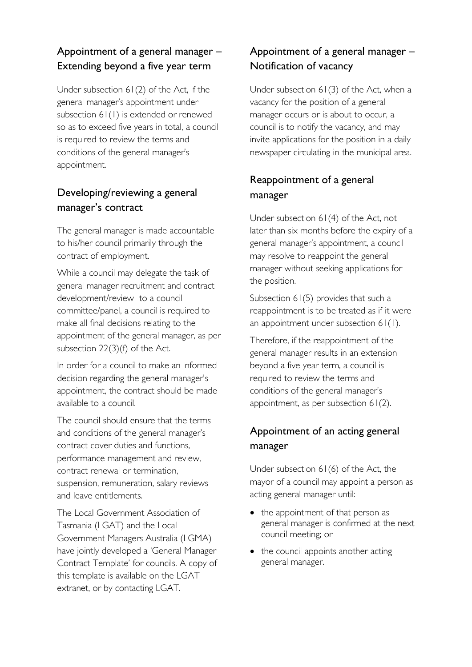#### Appointment of a general manager – Extending beyond a five year term

Under subsection 61(2) of the Act, if the general manager's appointment under subsection 61(1) is extended or renewed so as to exceed five years in total, a council is required to review the terms and conditions of the general manager's appointment.

## Developing/reviewing a general manager's contract

The general manager is made accountable to his/her council primarily through the contract of employment.

While a council may delegate the task of general manager recruitment and contract development/review to a council committee/panel, a council is required to make all final decisions relating to the appointment of the general manager, as per subsection 22(3)(f) of the Act.

In order for a council to make an informed decision regarding the general manager's appointment, the contract should be made available to a council.

The council should ensure that the terms and conditions of the general manager's contract cover duties and functions, performance management and review, contract renewal or termination, suspension, remuneration, salary reviews and leave entitlements.

The Local Government Association of Tasmania (LGAT) and the Local Government Managers Australia (LGMA) have jointly developed a 'General Manager Contract Template' for councils. A copy of this template is available on the LGAT extranet, or by contacting LGAT.

# Appointment of a general manager – Notification of vacancy

Under subsection 61(3) of the Act, when a vacancy for the position of a general manager occurs or is about to occur, a council is to notify the vacancy, and may invite applications for the position in a daily newspaper circulating in the municipal area.

## Reappointment of a general manager

Under subsection 61(4) of the Act, not later than six months before the expiry of a general manager's appointment, a council may resolve to reappoint the general manager without seeking applications for the position.

Subsection 61(5) provides that such a reappointment is to be treated as if it were an appointment under subsection 61(1).

Therefore, if the reappointment of the general manager results in an extension beyond a five year term, a council is required to review the terms and conditions of the general manager's appointment, as per subsection 61(2).

# Appointment of an acting general manager

Under subsection 61(6) of the Act, the mayor of a council may appoint a person as acting general manager until:

- the appointment of that person as general manager is confirmed at the next council meeting; or
- the council appoints another acting general manager.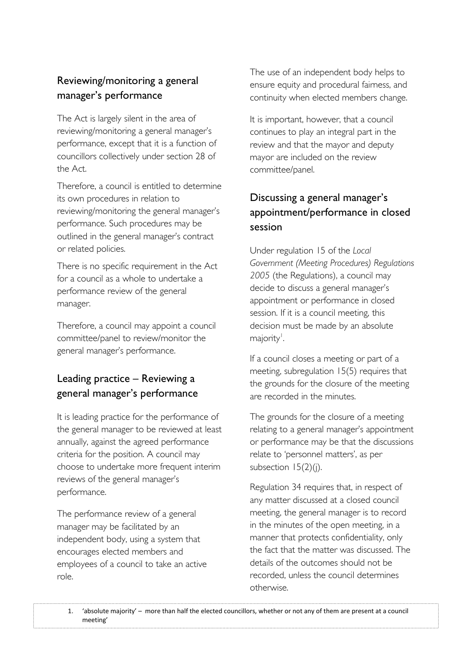#### Reviewing/monitoring a general manager's performance

The Act is largely silent in the area of reviewing/monitoring a general manager's performance, except that it is a function of councillors collectively under section 28 of the Act.

Therefore, a council is entitled to determine its own procedures in relation to reviewing/monitoring the general manager's performance. Such procedures may be outlined in the general manager's contract or related policies.

There is no specific requirement in the Act for a council as a whole to undertake a performance review of the general manager.

Therefore, a council may appoint a council committee/panel to review/monitor the general manager's performance.

## Leading practice – Reviewing a general manager's performance

It is leading practice for the performance of the general manager to be reviewed at least annually, against the agreed performance criteria for the position. A council may choose to undertake more frequent interim reviews of the general manager's performance.

The performance review of a general manager may be facilitated by an independent body, using a system that encourages elected members and employees of a council to take an active role.

The use of an independent body helps to ensure equity and procedural fairness, and continuity when elected members change.

It is important, however, that a council continues to play an integral part in the review and that the mayor and deputy mayor are included on the review committee/panel.

# Discussing a general manager's appointment/performance in closed session

Under regulation 15 of the *Local Government (Meeting Procedures) Regulations 2005* (the Regulations), a council may decide to discuss a general manager's appointment or performance in closed session. If it is a council meeting, this decision must be made by an absolute majority<sup>'</sup>. .

If a council closes a meeting or part of a meeting, subregulation 15(5) requires that the grounds for the closure of the meeting are recorded in the minutes.

The grounds for the closure of a meeting relating to a general manager's appointment or performance may be that the discussions relate to 'personnel matters', as per subsection 15(2)(j).

Regulation 34 requires that, in respect of any matter discussed at a closed council meeting, the general manager is to record in the minutes of the open meeting, in a manner that protects confidentiality, only the fact that the matter was discussed. The details of the outcomes should not be recorded, unless the council determines otherwise.